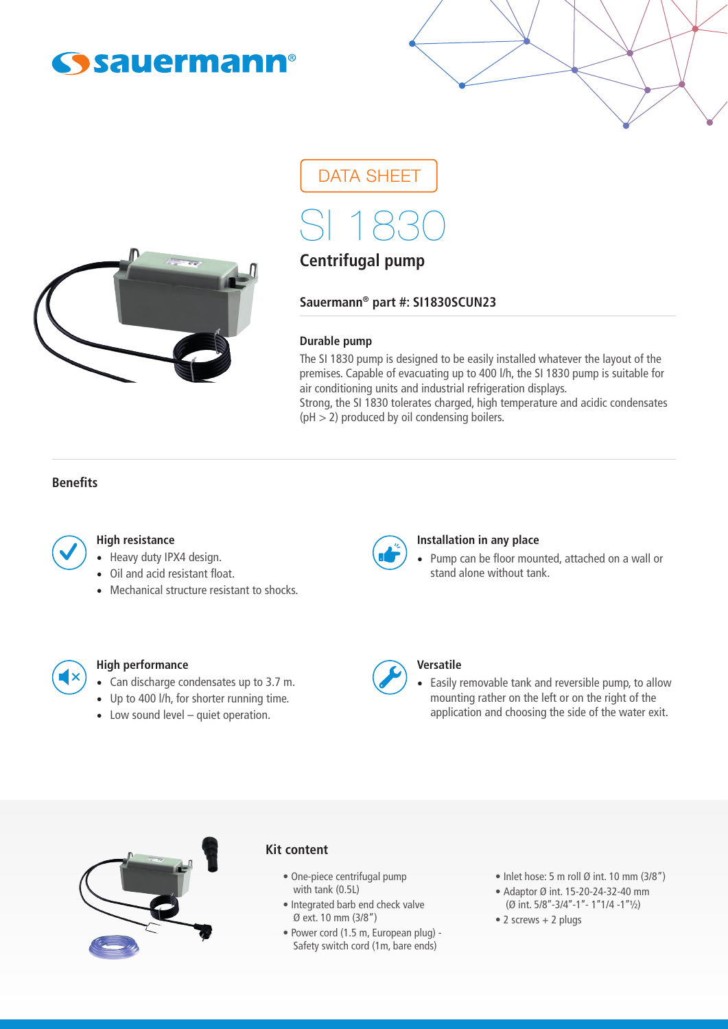



# DATA SHEET

SI 1830

# **Centrifugal pump**

**Sauermann® part #: SI1830SCUN23**

#### **Durable pump**

The SI 1830 pump is designed to be easily installed whatever the layout of the premises. Capable of evacuating up to 400 l/h, the SI 1830 pump is suitable for air conditioning units and industrial refrigeration displays.

Strong, the SI 1830 tolerates charged, high temperature and acidic condensates  $(pH > 2)$  produced by oil condensing boilers.

# **Benefits**



#### **High resistance**

- Heavy duty IPX4 design.
- Oil and acid resistant float.
- Mechanical structure resistant to shocks.



#### **Installation in any place**

• Pump can be floor mounted, attached on a wall or stand alone without tank.



# **High performance**

- Can discharge condensates up to 3.7 m.
- Up to 400 l/h, for shorter running time.
- Low sound level quiet operation.



#### **Versatile**

• Easily removable tank and reversible pump, to allow mounting rather on the left or on the right of the application and choosing the side of the water exit.



#### **Kit content**

- One-piece centrifugal pump with tank (0.5L)
- Integrated barb end check valve Ø ext. 10 mm (3/8")
- Power cord (1.5 m, European plug) Safety switch cord (1m, bare ends)
- Inlet hose: 5 m roll  $\emptyset$  int. 10 mm (3/8")
- Adaptor Ø int. 15-20-24-32-40 mm (Ø int.  $5/8$ "-3/4"-1"- 1"1/4 -1" $1/2$ )
- 2 screws + 2 plugs